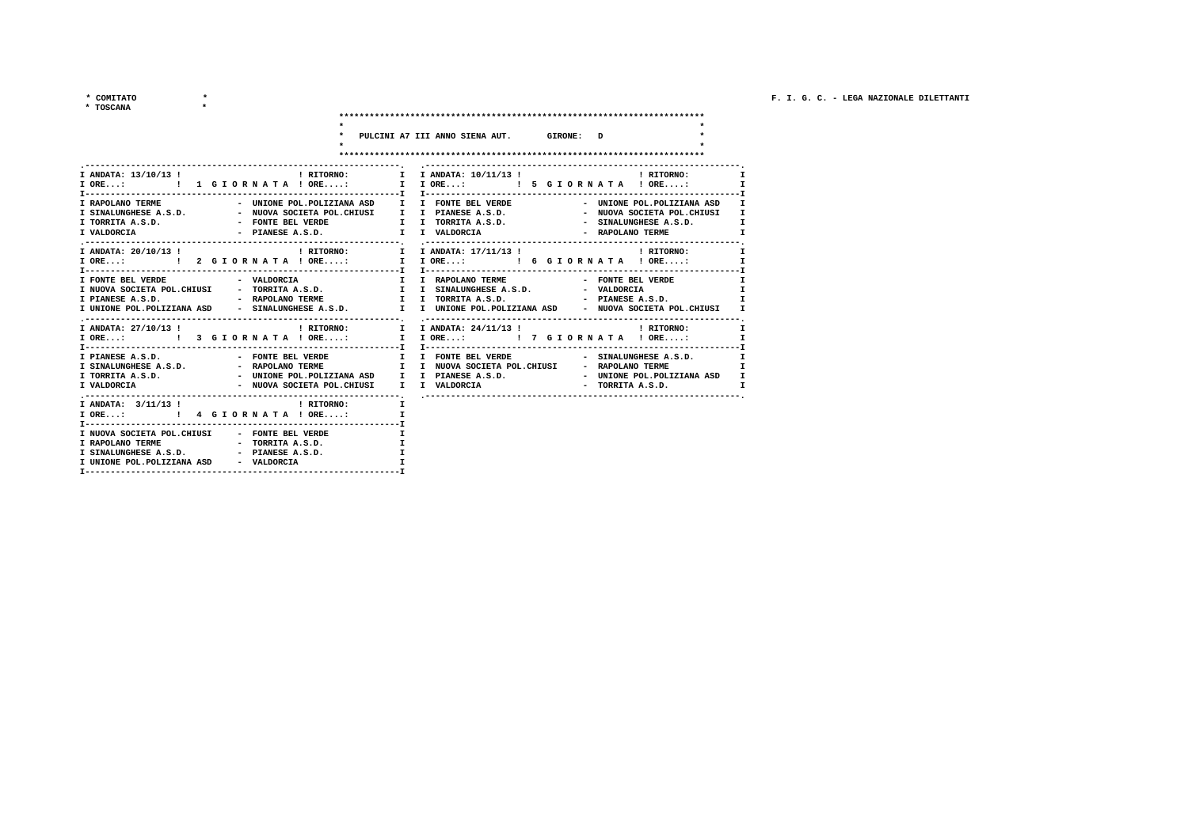$*$  COMITATO

 $\star$ 

 $\star$ 

\* TOSCANA

|                                                                                       | * PULCINI A7 III ANNO SIENA AUT. GIRONE: D                                                                                                                                                                                                                                                                |
|---------------------------------------------------------------------------------------|-----------------------------------------------------------------------------------------------------------------------------------------------------------------------------------------------------------------------------------------------------------------------------------------------------------|
|                                                                                       | I ORE: !!! GIORNATA! ORE: I I ORE: !!! 5 GIORNATA! ORE: I                                                                                                                                                                                                                                                 |
| I RAPOLANO TERME<br>I TORRITA A.S.D.<br>- PIANESE A.S.D. I I VALDORCIA<br>I VALDORCIA | - UNIONE POL.POLIZIANA ASD I I FONTE BEL VERDE<br>- UNIONE POL.POLIZIANA ASD I<br>I SINALUNGHESE A.S.D.         - NUOVA SOCIETA POL.CHIUSI   I I PIANESE A.S.D.       - NUOVA SOCIETA POL.CHIUSI<br>I.<br>- FONTE BEL VERDE TORRITA A.S.D. - SINALUNGHESE A.S.D.<br>х<br>$\mathbf{r}$<br>- RAPOLANO TERME |
| I ANDATA: 20/10/13 !                                                                  | $\,$ ! RITORNO: $\,$ $\,$ I $\,$ I ANDATA: 17/11/13 ! $\,$ $\,$ $\,$ ! RITORNO:<br>т.<br>$\mathbf{I}$                                                                                                                                                                                                     |
| I NUOVA SOCIETA POL.CHIUSI - TORRITA A.S.D. I I SINALUNGHESE A.S.D. - VALDORCIA       | - FONTE BEL VERDE<br>$\mathbf{r}$<br>$\mathbf{I}$<br>T<br>I UNIONE POL.POLIZIANA ASD - SINALUNGHESE A.S.D. I I UNIONE POL.POLIZIANA ASD - NUOVA SOCIETA POL.CHIUSI<br>I.                                                                                                                                  |
| I-------------------------------                                                      | I ANDATA: 24/11/13 !                             ! RITORNO:<br>$\mathbf{I}$                                                                                                                                                                                                                               |
| I SINALUNGHESE A.S.D. - RAPOLANO TERME I I NUOVA SOCIETA POL.CHIUSI                   | I PIANESE A.S.D.                     FONTE BEL VERDE         I   FONTE BEL VERDE                   SINALUNGHESE A.S.D.<br>T<br>- RAPOLANO TERME<br>х<br>$\mathbf{I}$<br>$\mathbf{r}$                                                                                                                      |
| I ANDATA: $3/11/13$ ! NITORNO:                                                        | $\mathbf{I}$                                                                                                                                                                                                                                                                                              |

| $I$ ORE:                    |  | 1 4  G I O R N A T A I ORE |  |
|-----------------------------|--|----------------------------|--|
|                             |  |                            |  |
| I NUOVA SOCIETA POL.CHIUSI  |  | - FONTE BEL VERDE          |  |
| I RAPOLANO TERME            |  | - TORRITA A.S.D.           |  |
| I SINALUNGHESE A.S.D.       |  | - PIANESE A.S.D.           |  |
| I UNIONE POL. POLIZIANA ASD |  | - VALDORCIA                |  |
|                             |  |                            |  |